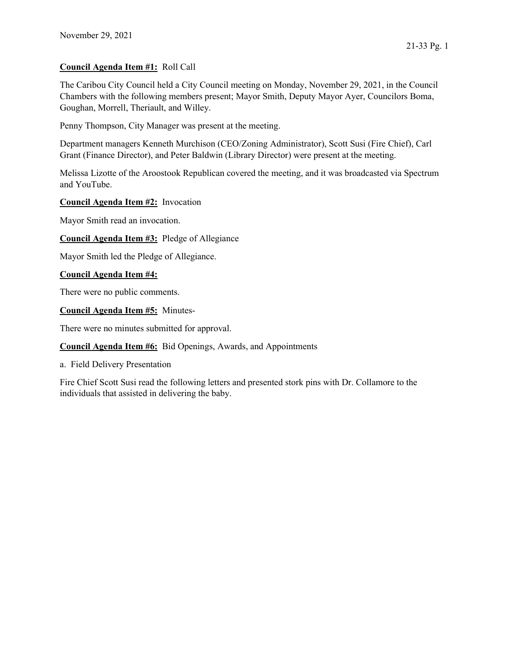## Council Agenda Item #1: Roll Call

The Caribou City Council held a City Council meeting on Monday, November 29, 2021, in the Council Chambers with the following members present; Mayor Smith, Deputy Mayor Ayer, Councilors Boma, Goughan, Morrell, Theriault, and Willey.

Penny Thompson, City Manager was present at the meeting.

Department managers Kenneth Murchison (CEO/Zoning Administrator), Scott Susi (Fire Chief), Carl Grant (Finance Director), and Peter Baldwin (Library Director) were present at the meeting.

Melissa Lizotte of the Aroostook Republican covered the meeting, and it was broadcasted via Spectrum and YouTube.

## Council Agenda Item #2: Invocation

Mayor Smith read an invocation.

Council Agenda Item #3: Pledge of Allegiance

Mayor Smith led the Pledge of Allegiance.

## Council Agenda Item #4:

There were no public comments.

Council Agenda Item #5: Minutes-

There were no minutes submitted for approval.

Council Agenda Item #6: Bid Openings, Awards, and Appointments

a. Field Delivery Presentation

Fire Chief Scott Susi read the following letters and presented stork pins with Dr. Collamore to the individuals that assisted in delivering the baby.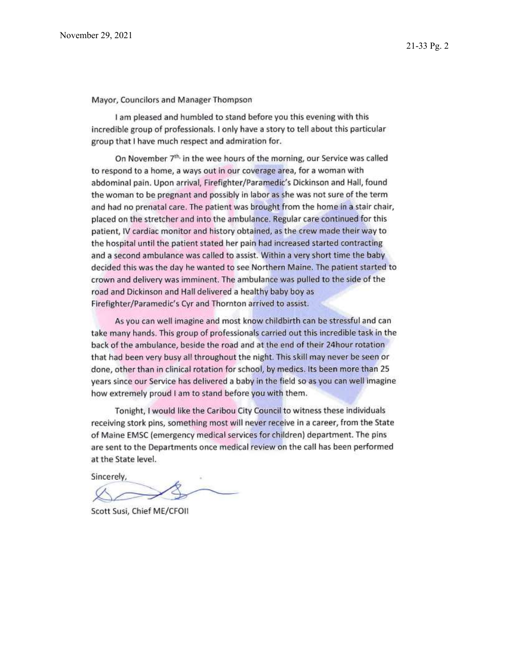Mayor, Councilors and Manager Thompson

I am pleased and humbled to stand before you this evening with this incredible group of professionals. I only have a story to tell about this particular group that I have much respect and admiration for.

On November 7<sup>th,</sup> in the wee hours of the morning, our Service was called to respond to a home, a ways out in our coverage area, for a woman with abdominal pain. Upon arrival, Firefighter/Paramedic's Dickinson and Hall, found the woman to be pregnant and possibly in labor as she was not sure of the term and had no prenatal care. The patient was brought from the home in a stair chair, placed on the stretcher and into the ambulance. Regular care continued for this patient, IV cardiac monitor and history obtained, as the crew made their way to the hospital until the patient stated her pain had increased started contracting and a second ambulance was called to assist. Within a very short time the baby decided this was the day he wanted to see Northern Maine. The patient started to crown and delivery was imminent. The ambulance was pulled to the side of the road and Dickinson and Hall delivered a healthy baby boy as Firefighter/Paramedic's Cyr and Thornton arrived to assist.

As you can well imagine and most know childbirth can be stressful and can take many hands. This group of professionals carried out this incredible task in the back of the ambulance, beside the road and at the end of their 24hour rotation that had been very busy all throughout the night. This skill may never be seen or done, other than in clinical rotation for school, by medics. Its been more than 25 years since our Service has delivered a baby in the field so as you can well imagine how extremely proud I am to stand before you with them.

Tonight, I would like the Caribou City Council to witness these individuals receiving stork pins, something most will never receive in a career, from the State of Maine EMSC (emergency medical services for children) department. The pins are sent to the Departments once medical review on the call has been performed at the State level.

Sincerely,

Scott Susi, Chief ME/CFOII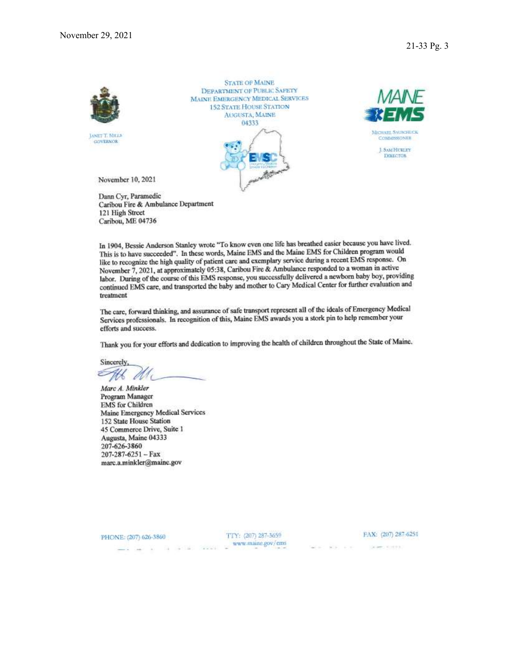

LONET T. MILLS **GOVERNOR** 

**STATE OF MAINE DEPARTMENT OF PUBLIC SAFETY MAINE EMERGENCY MEDICAL SERVICES 152 STATE HOUSE STATION AUGUSTA, MAINE** 04333





November 10, 2021

Dann Cyr, Paramedic Caribou Fire & Ambulance Department 121 High Street Caribou, ME 04736

In 1904, Bessie Anderson Stanley wrote "To know even one life has breathed easier because you have lived. This is to have succeeded". In these words, Maine EMS and the Maine EMS for Children program would like to recognize the high quality of patient care and exemplary service during a recent EMS response. On November 7, 2021, at approximately 05:38, Caribou Fire & Ambulance responded to a woman in active labor. During of the course of this EMS response, you successfully delivered a newborn baby boy, providing continued EMS care, and transported the baby and mother to Cary Medical Center for further evaluation and treatment

The care, forward thinking, and assurance of safe transport represent all of the ideals of Emergency Medical Services professionals. In recognition of this, Maine EMS awards you a stork pin to help remember your efforts and success.

Thank you for your efforts and dedication to improving the health of children throughout the State of Maine.

Sincerely, At M

Marc A. Minkler Program Manager **EMS** for Children **Maine Emergency Medical Services** 152 State House Station 45 Commerce Drive, Suite 1 Augusta, Maine 04333 207-626-3860  $207 - 287 - 6251 - Fax$ marc.a.minkler@maine.gov

PHONE: (207) 626-3860

TTY: (207) 287-3659  $\text{www.maine.gov/cms}$  FAX: (207) 287-6251

the company of the company Column 10 (400)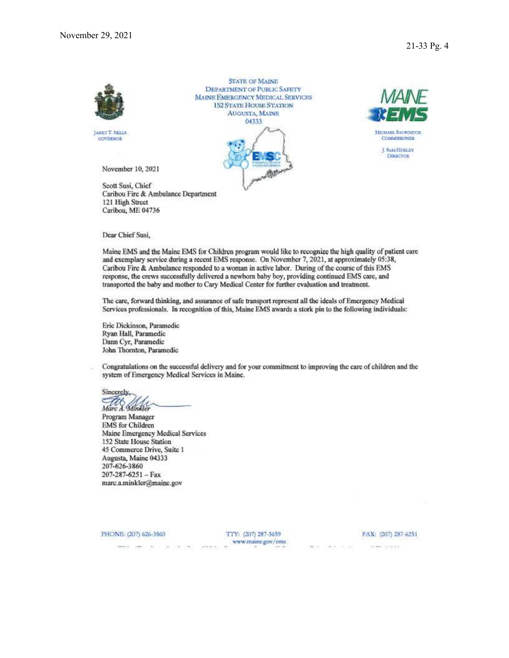

Dear Chief Susi,

Maine EMS and the Maine EMS for Children program would like to recognize the high quality of patient care and exemplary service during a recent EMS response. On November 7, 2021, at approximately 05:38, Caribou Fire & Ambulance responded to a woman in active labor. During of the course of this EMS response, the crews successfully delivered a newborn baby boy, providing continued EMS care, and transported the baby and mother to Cary Medical Center for further evaluation and treatment.

The care, forward thinking, and assurance of safe transport represent all the ideals of Emergency Medical Services professionals. In recognition of this, Maine EMS awards a stork pin to the following individuals:

Eric Dickinson, Paramedic Ryan Hall, Paramedic Dann Cyr, Paramedic John Thornton, Paramedic

Congratulations on the successful delivery and for your commitment to improving the care of children and the system of Emergency Medical Services in Maine.

Sincerely, Marc A. Minkler

Program Manager **EMS** for Children Maine Emergency Medical Services 152 State House Station 45 Commerce Drive, Suite 1 Augusta, Maine 04333 207-626-3860  $207 - 287 - 6251 - Fax$ marc.a.minkler@maine.gov

PHONE: (207) 626-3860

TTY: (207) 287-3659 www.maine.gov/ems

 $-4 + 3 + 4$ 

FAX: (207) 287-6251

WELL-DESCRIPTION

 $\label{eq:1} \mathcal{L}=\mathcal{L}=\mathcal{L}^{\text{max}}\times\mathcal{L}^{\text{max}}$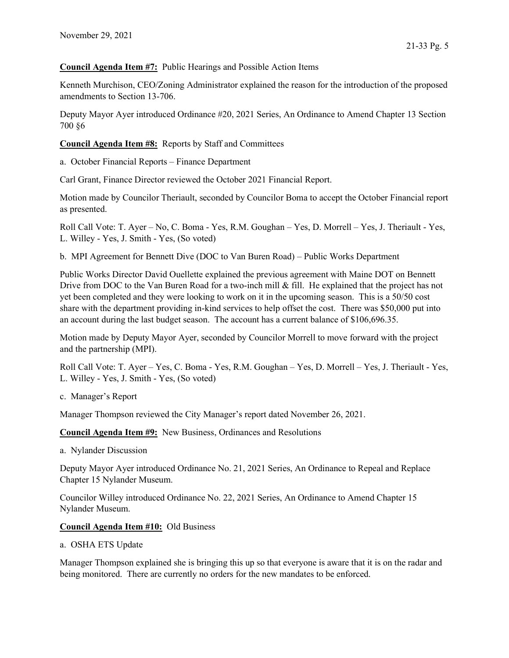Council Agenda Item #7: Public Hearings and Possible Action Items

Kenneth Murchison, CEO/Zoning Administrator explained the reason for the introduction of the proposed amendments to Section 13-706.

Deputy Mayor Ayer introduced Ordinance #20, 2021 Series, An Ordinance to Amend Chapter 13 Section 700 §6

Council Agenda Item #8: Reports by Staff and Committees

a. October Financial Reports – Finance Department

Carl Grant, Finance Director reviewed the October 2021 Financial Report.

Motion made by Councilor Theriault, seconded by Councilor Boma to accept the October Financial report as presented.

Roll Call Vote: T. Ayer – No, C. Boma - Yes, R.M. Goughan – Yes, D. Morrell – Yes, J. Theriault - Yes, L. Willey - Yes, J. Smith - Yes, (So voted)

b. MPI Agreement for Bennett Dive (DOC to Van Buren Road) – Public Works Department

Public Works Director David Ouellette explained the previous agreement with Maine DOT on Bennett Drive from DOC to the Van Buren Road for a two-inch mill & fill. He explained that the project has not yet been completed and they were looking to work on it in the upcoming season. This is a 50/50 cost share with the department providing in-kind services to help offset the cost. There was \$50,000 put into an account during the last budget season. The account has a current balance of \$106,696.35.

Motion made by Deputy Mayor Ayer, seconded by Councilor Morrell to move forward with the project and the partnership (MPI).

Roll Call Vote: T. Ayer – Yes, C. Boma - Yes, R.M. Goughan – Yes, D. Morrell – Yes, J. Theriault - Yes, L. Willey - Yes, J. Smith - Yes, (So voted)

c. Manager's Report

Manager Thompson reviewed the City Manager's report dated November 26, 2021.

Council Agenda Item #9: New Business, Ordinances and Resolutions

a. Nylander Discussion

Deputy Mayor Ayer introduced Ordinance No. 21, 2021 Series, An Ordinance to Repeal and Replace Chapter 15 Nylander Museum.

Councilor Willey introduced Ordinance No. 22, 2021 Series, An Ordinance to Amend Chapter 15 Nylander Museum.

## Council Agenda Item #10: Old Business

a. OSHA ETS Update

Manager Thompson explained she is bringing this up so that everyone is aware that it is on the radar and being monitored. There are currently no orders for the new mandates to be enforced.